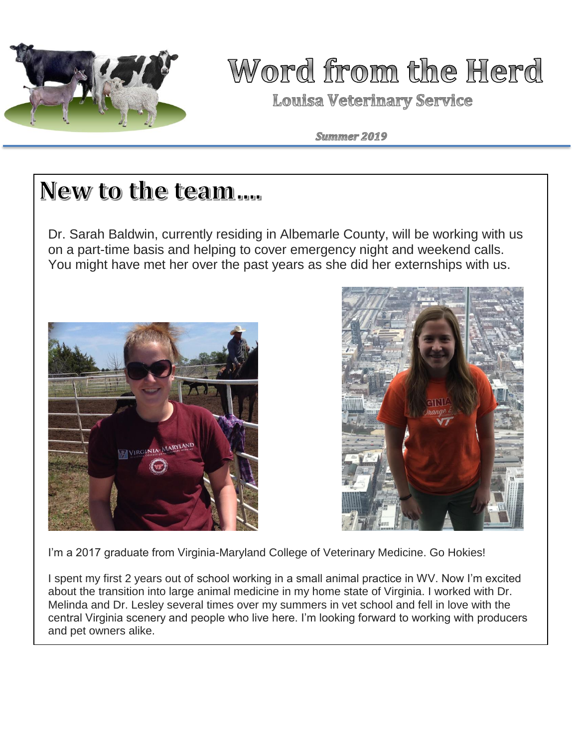

## Word from the Herd

**Louisa Veterinary Service** 

Summer 2019

## New to the team....

Dr. Sarah Baldwin, currently residing in Albemarle County, will be working with us on a part-time basis and helping to cover emergency night and weekend calls. You might have met her over the past years as she did her externships with us.





I'm a 2017 graduate from Virginia-Maryland College of Veterinary Medicine. Go Hokies!

I spent my first 2 years out of school working in a small animal practice in WV. Now I'm excited about the transition into large animal medicine in my home state of Virginia. I worked with Dr. Melinda and Dr. Lesley several times over my summers in vet school and fell in love with the central Virginia scenery and people who live here. I'm looking forward to working with producers and pet owners alike.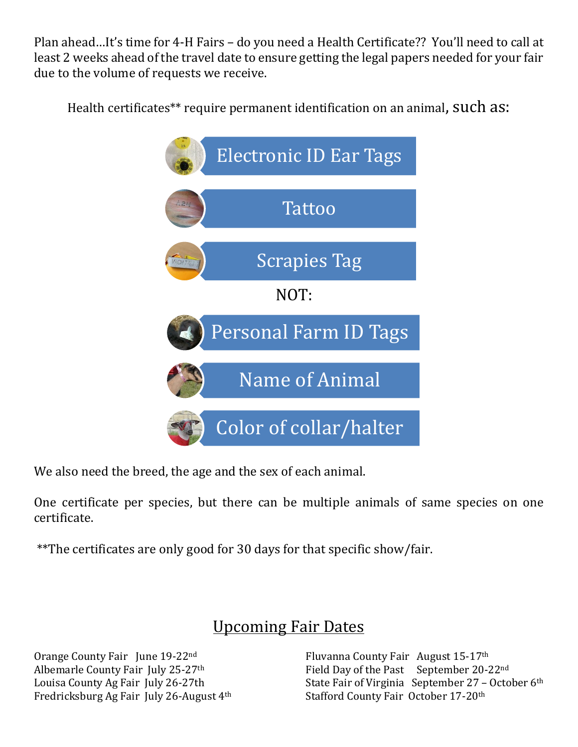Plan ahead…It's time for 4-H Fairs – do you need a Health Certificate?? You'll need to call at least 2 weeks ahead of the travel date to ensure getting the legal papers needed for your fair due to the volume of requests we receive.

Health certificates\*\* require permanent identification on an animal, Such as:



We also need the breed, the age and the sex of each animal.

One certificate per species, but there can be multiple animals of same species on one certificate.

\*\*The certificates are only good for 30 days for that specific show/fair.

### Upcoming Fair Dates

Orange County Fair June 19-22nd Albemarle County Fair July 25-27th Louisa County Ag Fair July 26-27th Fredricksburg Ag Fair July 26-August 4th Fluvanna County Fair August 15-17th Field Day of the Past September 20-22nd State Fair of Virginia September 27 - October 6th Stafford County Fair October 17-20th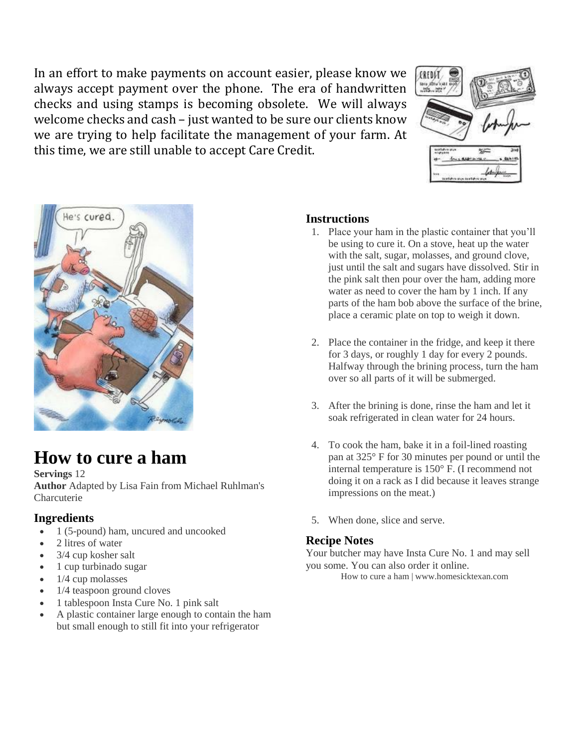In an effort to make payments on account easier, please know we always accept payment over the phone. The era of handwritten checks and using stamps is becoming obsolete. We will always welcome checks and cash – just wanted to be sure our clients know we are trying to help facilitate the management of your farm. At this time, we are still unable to accept Care Credit.





## **How to cure a ham**

#### **Servings** 12

**Author** Adapted by Lisa Fain from Michael Ruhlman's Charcuterie

#### **Ingredients**

- 1 (5-pound) ham, uncured and uncooked
- 2 litres of water
- 3/4 cup kosher salt
- 1 cup turbinado sugar
- $\bullet$  1/4 cup molasses
- 1/4 teaspoon ground cloves
- 1 tablespoon Insta Cure No. 1 pink salt
- A plastic container large enough to contain the ham but small enough to still fit into your refrigerator

#### **Instructions**

- 1. Place your ham in the plastic container that you'll be using to cure it. On a stove, heat up the water with the salt, sugar, molasses, and ground clove, just until the salt and sugars have dissolved. Stir in the pink salt then pour over the ham, adding more water as need to cover the ham by 1 inch. If any parts of the ham bob above the surface of the brine, place a ceramic plate on top to weigh it down.
- 2. Place the container in the fridge, and keep it there for 3 days, or roughly 1 day for every 2 pounds. Halfway through the brining process, turn the ham over so all parts of it will be submerged.
- 3. After the brining is done, rinse the ham and let it soak refrigerated in clean water for 24 hours.
- 4. To cook the ham, bake it in a foil-lined roasting pan at 325° F for 30 minutes per pound or until the internal temperature is 150° F. (I recommend not doing it on a rack as I did because it leaves strange impressions on the meat.)
- 5. When done, slice and serve.

#### **Recipe Notes**

Your butcher may have Insta Cure No. 1 and may sell you some. You can also order it online.

How to cure a ham | www.homesicktexan.com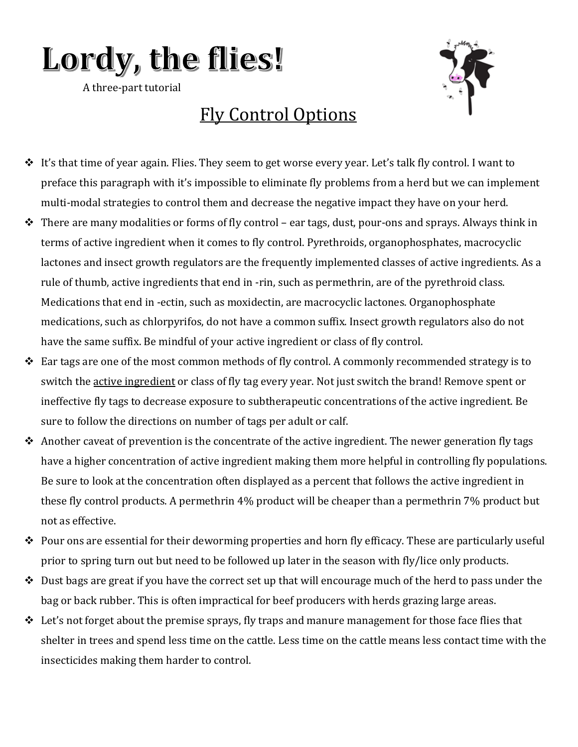# Lordy, the flies!

A three-part tutorial



## Fly Control Options

- $\hat{\mathbf{v}}$  It's that time of year again. Flies. They seem to get worse every year. Let's talk fly control. I want to preface this paragraph with it's impossible to eliminate fly problems from a herd but we can implement multi-modal strategies to control them and decrease the negative impact they have on your herd.
- ❖ There are many modalities or forms of fly control ear tags, dust, pour-ons and sprays. Always think in terms of active ingredient when it comes to fly control. Pyrethroids, organophosphates, macrocyclic lactones and insect growth regulators are the frequently implemented classes of active ingredients. As a rule of thumb, active ingredients that end in -rin, such as permethrin, are of the pyrethroid class. Medications that end in -ectin, such as moxidectin, are macrocyclic lactones. Organophosphate medications, such as chlorpyrifos, do not have a common suffix. Insect growth regulators also do not have the same suffix. Be mindful of your active ingredient or class of fly control.
- ❖ Ear tags are one of the most common methods of fly control. A commonly recommended strategy is to switch the active ingredient or class of fly tag every year. Not just switch the brand! Remove spent or ineffective fly tags to decrease exposure to subtherapeutic concentrations of the active ingredient. Be sure to follow the directions on number of tags per adult or calf.
- $\triangle$  Another caveat of prevention is the concentrate of the active ingredient. The newer generation fly tags have a higher concentration of active ingredient making them more helpful in controlling fly populations. Be sure to look at the concentration often displayed as a percent that follows the active ingredient in these fly control products. A permethrin 4% product will be cheaper than a permethrin 7% product but not as effective.
- ❖ Pour ons are essential for their deworming properties and horn fly efficacy. These are particularly useful prior to spring turn out but need to be followed up later in the season with fly/lice only products.
- ❖ Dust bags are great if you have the correct set up that will encourage much of the herd to pass under the bag or back rubber. This is often impractical for beef producers with herds grazing large areas.
- $\triangleleft$  Let's not forget about the premise sprays, fly traps and manure management for those face flies that shelter in trees and spend less time on the cattle. Less time on the cattle means less contact time with the insecticides making them harder to control.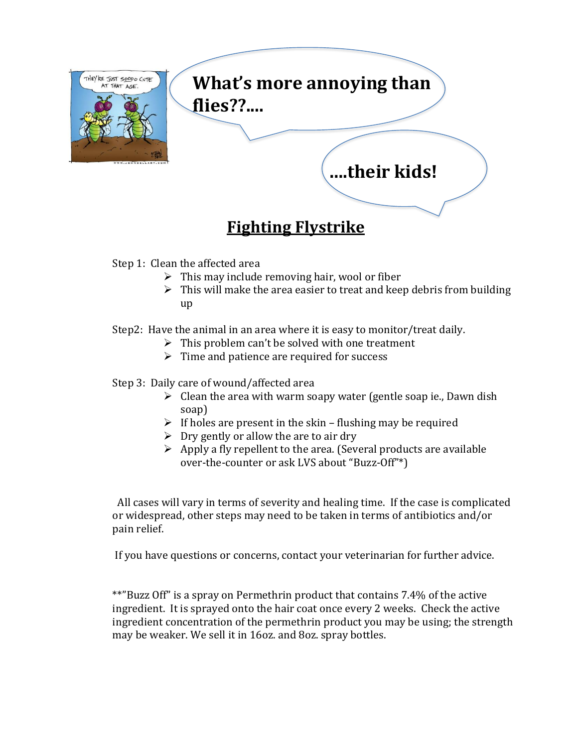

### **Fighting Flystrike**

Step 1: Clean the affected area

- $\triangleright$  This may include removing hair, wool or fiber
- $\triangleright$  This will make the area easier to treat and keep debris from building up

Step2: Have the animal in an area where it is easy to monitor/treat daily.

- $\triangleright$  This problem can't be solved with one treatment
- $\triangleright$  Time and patience are required for success

#### Step 3: Daily care of wound/affected area

- $\triangleright$  Clean the area with warm soapy water (gentle soap ie., Dawn dish soap)
- $\triangleright$  If holes are present in the skin flushing may be required
- $\triangleright$  Dry gently or allow the are to air dry
- $\triangleright$  Apply a fly repellent to the area. (Several products are available over-the-counter or ask LVS about "Buzz-Off"\*)

All cases will vary in terms of severity and healing time. If the case is complicated or widespread, other steps may need to be taken in terms of antibiotics and/or pain relief.

If you have questions or concerns, contact your veterinarian for further advice.

\*\*"Buzz Off" is a spray on Permethrin product that contains 7.4% of the active ingredient. It is sprayed onto the hair coat once every 2 weeks. Check the active ingredient concentration of the permethrin product you may be using; the strength may be weaker. We sell it in 16oz. and 8oz. spray bottles.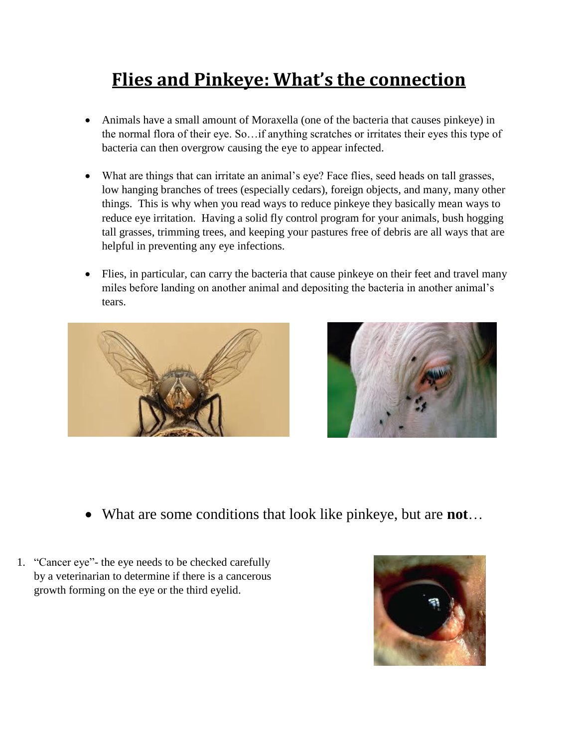## **Flies and Pinkeye: What's the connection**

- Animals have a small amount of Moraxella (one of the bacteria that causes pinkeye) in the normal flora of their eye. So…if anything scratches or irritates their eyes this type of bacteria can then overgrow causing the eye to appear infected.
- What are things that can irritate an animal's eye? Face flies, seed heads on tall grasses, low hanging branches of trees (especially cedars), foreign objects, and many, many other things. This is why when you read ways to reduce pinkeye they basically mean ways to reduce eye irritation. Having a solid fly control program for your animals, bush hogging tall grasses, trimming trees, and keeping your pastures free of debris are all ways that are helpful in preventing any eye infections.
- Flies, in particular, can carry the bacteria that cause pinkeye on their feet and travel many miles before landing on another animal and depositing the bacteria in another animal's tears.





- What are some conditions that look like pinkeye, but are **not**…
- 1. "Cancer eye"- the eye needs to be checked carefully by a veterinarian to determine if there is a cancerous growth forming on the eye or the third eyelid.